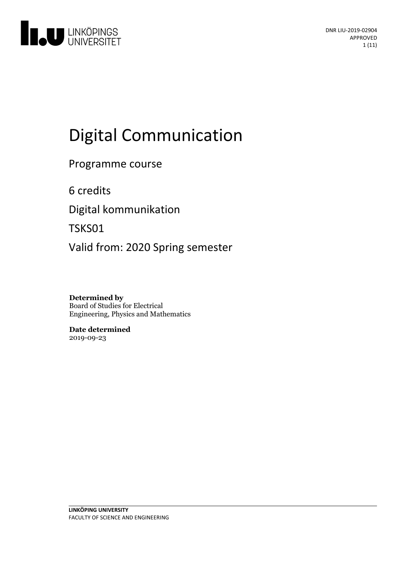

# Digital Communication

Programme course

6 credits

Digital kommunikation

TSKS01

Valid from: 2020 Spring semester

**Determined by** Board of Studies for Electrical Engineering, Physics and Mathematics

**Date determined** 2019-09-23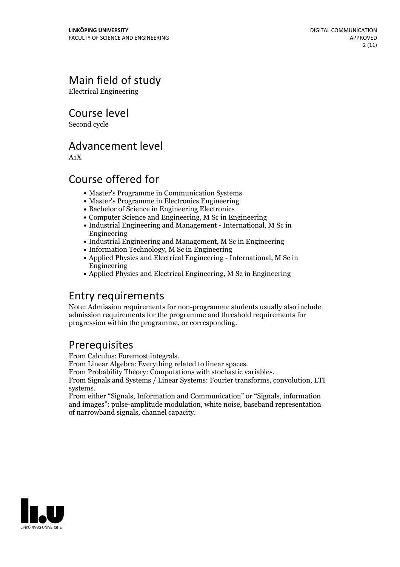## Main field of study

Electrical Engineering

Course level

Second cycle

### Advancement level

A1X

### Course offered for

- Master's Programme in Communication Systems
- Master's Programme in Electronics Engineering
- Bachelor of Science in Engineering Electronics
- Computer Science and Engineering, M Sc in Engineering
- Industrial Engineering and Management International, M Sc in Engineering
- Industrial Engineering and Management, M Sc in Engineering
- Information Technology, M Sc in Engineering
- Applied Physics and Electrical Engineering International, M Sc in Engineering
- Applied Physics and Electrical Engineering, M Sc in Engineering

### Entry requirements

Note: Admission requirements for non-programme students usually also include admission requirements for the programme and threshold requirements for progression within the programme, or corresponding.

**Prerequisites**<br>From Calculus: Foremost integrals.

From Linear Algebra: Everything related to linear spaces.<br>From Probability Theory: Computations with stochastic variables.<br>From Signals and Systems / Linear Systems: Fourier transforms, convolution, LTI systems. From either "Signals, Information and Communication" or "Signals, information

and images": pulse-amplitude modulation, white noise, baseband representation of narrowband signals, channel capacity.

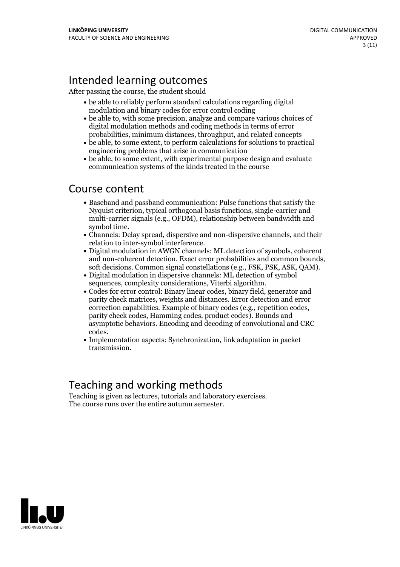### Intended learning outcomes

After passing the course, the student should

- be able to reliably perform standard calculations regarding digital modulation and binary codes for error control coding
- be able to, with some precision, analyze and compare various choices of digital modulation methods and coding methods in terms of error probabilities, minimum distances, throughput, and related concepts
- be able, to some extent, to perform calculations for solutions to practical engineering problems that arise in communication
- be able, to some extent, with experimental purpose design and evaluate communication systems of the kinds treated in the course

### Course content

- Baseband and passband communication: Pulse functions that satisfy the Nyquist criterion, typical orthogonal basis functions, single-carrier and multi-carrier signals (e.g., OFDM), relationship between bandwidth and
- symbol time.<br>• Channels: Delay spread, dispersive and non-dispersive channels, and their
- relation to inter-symbol interference.<br>• Digital modulation in AWGN channels: ML detection of symbols, coherent and non-coherent detection. Exact error probabilities and common bounds, soft decisions. Common signal constellations (e.g., FSK, PSK, ASK, QAM).<br>• Digital modulation in dispersive channels: ML detection of symbol
- 
- sequences, complexity considerations, Viterbi algorithm.<br>• Codes for error control: Binary linear codes, binary field, generator and parity check matrices, weights and distances. Error detection and error correction capabilities. Example of binary codes (e.g., repetition codes, parity check codes, Hamming codes, product codes). Bounds and asymptotic behaviors. Encoding and decoding of convolutional and CRC codes. Implementation aspects: Synchronization, link adaptation in packet
- transmission.

### Teaching and working methods

Teaching is given aslectures, tutorials and laboratory exercises. The course runs over the entire autumn semester.

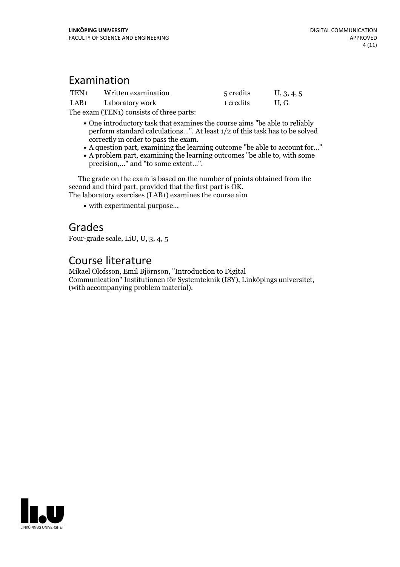### Examination

| TEN <sub>1</sub> | Written examination | 5 credits | U, 3, 4, 5 |
|------------------|---------------------|-----------|------------|
| LAB <sub>1</sub> | Laboratory work     | 1 credits | U.G        |

The exam (TEN1) consists of three parts:

- One introductory task that examines the course aims "be able to reliably perform standard calculations...". At least 1/2 of this task has to be solved
- 
- A question part, examining the learning outcome "be able to account for..."<br>• A problem part, examining the learning outcomes "be able to, with some precision,..." and "to some extent...".

The grade on the exam is based on the number of points obtained from the second and third part, provided that the first part is OK. The laboratory exercises (LAB1) examines the course aim

with experimental purpose...

### Grades

Four-grade scale, LiU, U, 3, 4, 5

### Course literature

Mikael Olofsson, Emil Björnson, "Introduction to Digital Communication" Institutionen för Systemteknik (ISY), Linköpings universitet, (with accompanying problem material).

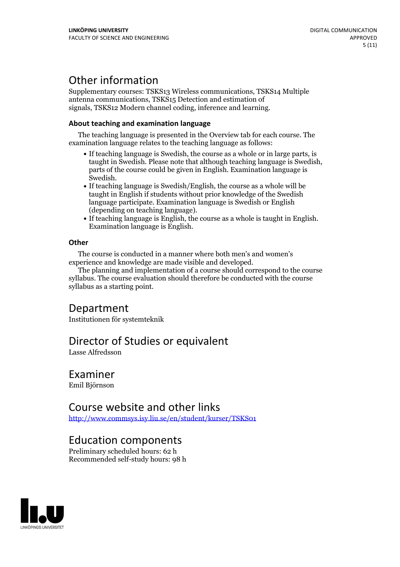### Other information

Supplementary courses: TSKS13 Wireless communications, TSKS14 Multiple antenna communications, TSKS15 Detection and estimation of signals, TSKS12 Modern channel coding, inference and learning.

#### **About teaching and examination language**

The teaching language is presented in the Overview tab for each course. The examination language relates to the teaching language as follows:

- If teaching language is Swedish, the course as a whole or in large parts, is taught in Swedish. Please note that although teaching language is Swedish, parts of the course could be given in English. Examination language is
- Swedish.<br>• If teaching language is Swedish/English, the course as a whole will be taught in English if students without prior knowledge of the Swedish language participate. Examination language is Swedish or English
- $\bullet$  If teaching language is English, the course as a whole is taught in English. Examination language is English.

#### **Other**

The course is conducted in a manner where both men's and women's

The planning and implementation of a course should correspond to the course syllabus. The course evaluation should therefore be conducted with the course syllabus as a starting point.

### Department

Institutionen för systemteknik

### Director of Studies or equivalent

Lasse Alfredsson

### Examiner

Emil Björnson

### Course website and other links

<http://www.commsys.isy.liu.se/en/student/kurser/TSKS01>

### Education components

Preliminary scheduled hours: 62 h Recommended self-study hours: 98 h

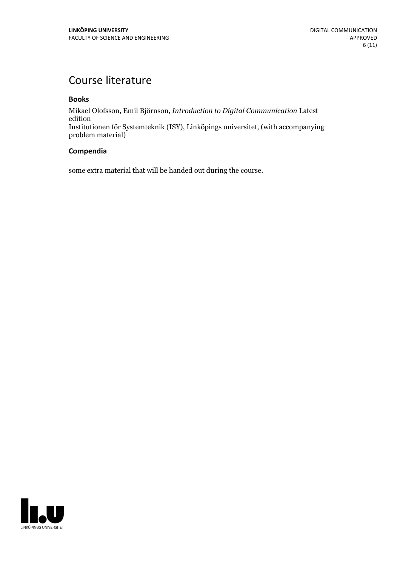### Course literature

#### **Books**

Mikael Olofsson, Emil Björnson, *Introduction to Digital Communication* Latest edition Institutionen för Systemteknik (ISY), Linköpings universitet, (with accompanying problem material)

#### **Compendia**

some extra material that will be handed out during the course.

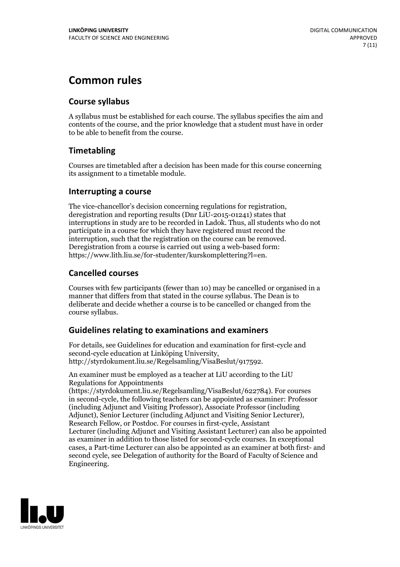### **Common rules**

#### **Course syllabus**

A syllabus must be established for each course. The syllabus specifies the aim and contents of the course, and the prior knowledge that a student must have in order to be able to benefit from the course.

#### **Timetabling**

Courses are timetabled after a decision has been made for this course concerning its assignment to a timetable module.

#### **Interrupting a course**

The vice-chancellor's decision concerning regulations for registration, deregistration and reporting results (Dnr LiU-2015-01241) states that interruptions in study are to be recorded in Ladok. Thus, all students who do not participate in a course for which they have registered must record the interruption, such that the registration on the course can be removed. Deregistration from <sup>a</sup> course is carried outusing <sup>a</sup> web-based form: https://www.lith.liu.se/for-studenter/kurskomplettering?l=en.

#### **Cancelled courses**

Courses with few participants (fewer than 10) may be cancelled or organised in a manner that differs from that stated in the course syllabus. The Dean is to deliberate and decide whether a course is to be cancelled or changed from the course syllabus.

#### **Guidelines relatingto examinations and examiners**

For details, see Guidelines for education and examination for first-cycle and second-cycle education at Linköping University, http://styrdokument.liu.se/Regelsamling/VisaBeslut/917592.

An examiner must be employed as a teacher at LiU according to the LiU Regulations for Appointments

(https://styrdokument.liu.se/Regelsamling/VisaBeslut/622784). For courses in second-cycle, the following teachers can be appointed as examiner: Professor (including Adjunct and Visiting Professor), Associate Professor (including Adjunct), Senior Lecturer (including Adjunct and Visiting Senior Lecturer), Research Fellow, or Postdoc. For courses in first-cycle, Assistant Lecturer (including Adjunct and Visiting Assistant Lecturer) can also be appointed as examiner in addition to those listed for second-cycle courses. In exceptional cases, a Part-time Lecturer can also be appointed as an examiner at both first- and second cycle, see Delegation of authority for the Board of Faculty of Science and Engineering.

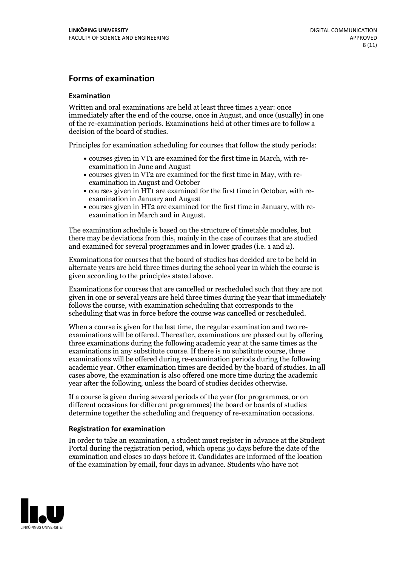#### **Forms of examination**

#### **Examination**

Written and oral examinations are held at least three times a year: once immediately after the end of the course, once in August, and once (usually) in one of the re-examination periods. Examinations held at other times are to follow a decision of the board of studies.

Principles for examination scheduling for courses that follow the study periods:

- courses given in VT1 are examined for the first time in March, with re-examination in June and August
- courses given in VT2 are examined for the first time in May, with re-examination in August and October
- courses given in HT1 are examined for the first time in October, with re-examination in January and August
- courses given in HT2 are examined for the first time in January, with re-examination in March and in August.

The examination schedule is based on the structure of timetable modules, but there may be deviations from this, mainly in the case of courses that are studied and examined for several programmes and in lower grades (i.e. 1 and 2).

Examinations for courses that the board of studies has decided are to be held in alternate years are held three times during the school year in which the course is given according to the principles stated above.

Examinations for courses that are cancelled orrescheduled such that they are not given in one or several years are held three times during the year that immediately follows the course, with examination scheduling that corresponds to the scheduling that was in force before the course was cancelled or rescheduled.

When a course is given for the last time, the regular examination and two re-<br>examinations will be offered. Thereafter, examinations are phased out by offering three examinations during the following academic year at the same times as the examinations in any substitute course. If there is no substitute course, three examinations will be offered during re-examination periods during the following academic year. Other examination times are decided by the board of studies. In all cases above, the examination is also offered one more time during the academic year after the following, unless the board of studies decides otherwise.

If a course is given during several periods of the year (for programmes, or on different occasions for different programmes) the board or boards of studies determine together the scheduling and frequency of re-examination occasions.

#### **Registration for examination**

In order to take an examination, a student must register in advance at the Student Portal during the registration period, which opens 30 days before the date of the examination and closes 10 days before it. Candidates are informed of the location of the examination by email, four days in advance. Students who have not

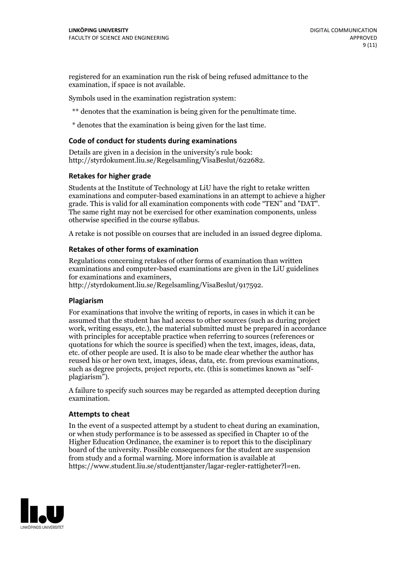registered for an examination run the risk of being refused admittance to the examination, if space is not available.

Symbols used in the examination registration system:

\*\* denotes that the examination is being given for the penultimate time.

\* denotes that the examination is being given for the last time.

#### **Code of conduct for students during examinations**

Details are given in a decision in the university's rule book: http://styrdokument.liu.se/Regelsamling/VisaBeslut/622682.

#### **Retakes for higher grade**

Students at the Institute of Technology at LiU have the right to retake written examinations and computer-based examinations in an attempt to achieve a higher grade. This is valid for all examination components with code "TEN" and "DAT". The same right may not be exercised for other examination components, unless otherwise specified in the course syllabus.

A retake is not possible on courses that are included in an issued degree diploma.

#### **Retakes of other forms of examination**

Regulations concerning retakes of other forms of examination than written examinations and computer-based examinations are given in the LiU guidelines

http://styrdokument.liu.se/Regelsamling/VisaBeslut/917592.

#### **Plagiarism**

For examinations that involve the writing of reports, in cases in which it can be assumed that the student has had access to other sources (such as during project work, writing essays, etc.), the material submitted must be prepared in accordance with principles for acceptable practice when referring to sources (references or quotations for which the source is specified) when the text, images, ideas, data,  $\vec{e}$  etc. of other people are used. It is also to be made clear whether the author has reused his or her own text, images, ideas, data, etc. from previous examinations, such as degree projects, project reports, etc. (this is sometimes known as "self- plagiarism").

A failure to specify such sources may be regarded as attempted deception during examination.

#### **Attempts to cheat**

In the event of <sup>a</sup> suspected attempt by <sup>a</sup> student to cheat during an examination, or when study performance is to be assessed as specified in Chapter <sup>10</sup> of the Higher Education Ordinance, the examiner is to report this to the disciplinary board of the university. Possible consequences for the student are suspension from study and a formal warning. More information is available at https://www.student.liu.se/studenttjanster/lagar-regler-rattigheter?l=en.

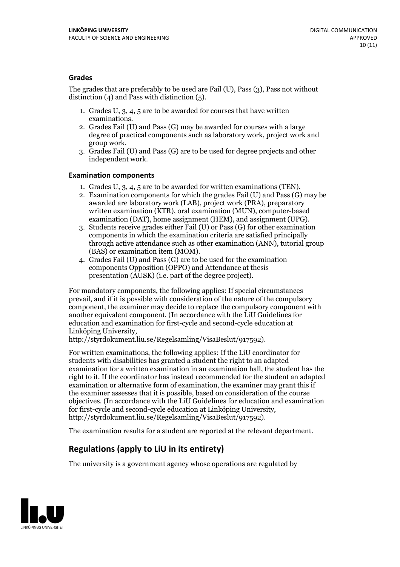#### **Grades**

The grades that are preferably to be used are Fail (U), Pass (3), Pass not without distinction  $(4)$  and Pass with distinction  $(5)$ .

- 1. Grades U, 3, 4, 5 are to be awarded for courses that have written
- examinations. 2. Grades Fail (U) and Pass (G) may be awarded for courses with <sup>a</sup> large degree of practical components such as laboratory work, project work and group work. 3. Grades Fail (U) and Pass (G) are to be used for degree projects and other
- independent work.

#### **Examination components**

- 
- 1. Grades U, 3, 4, <sup>5</sup> are to be awarded for written examinations (TEN). 2. Examination components for which the grades Fail (U) and Pass (G) may be awarded are laboratory work (LAB), project work (PRA), preparatory written examination (KTR), oral examination (MUN), computer-based
- examination (DAT), home assignment (HEM), and assignment (UPG). 3. Students receive grades either Fail (U) or Pass (G) for other examination components in which the examination criteria are satisfied principally through active attendance such as other examination (ANN), tutorial group (BAS) or examination item (MOM). 4. Grades Fail (U) and Pass (G) are to be used for the examination
- components Opposition (OPPO) and Attendance at thesis presentation (AUSK) (i.e. part of the degree project).

For mandatory components, the following applies: If special circumstances prevail, and if it is possible with consideration of the nature of the compulsory component, the examiner may decide to replace the compulsory component with another equivalent component. (In accordance with the LiU Guidelines for education and examination for first-cycle and second-cycle education at Linköping University, http://styrdokument.liu.se/Regelsamling/VisaBeslut/917592).

For written examinations, the following applies: If the LiU coordinator for students with disabilities has granted a student the right to an adapted examination for a written examination in an examination hall, the student has the right to it. If the coordinator has instead recommended for the student an adapted examination or alternative form of examination, the examiner may grant this if the examiner assesses that it is possible, based on consideration of the course objectives. (In accordance with the LiU Guidelines for education and examination for first-cycle and second-cycle education at Linköping University, http://styrdokument.liu.se/Regelsamling/VisaBeslut/917592).

The examination results for a student are reported at the relevant department.

### **Regulations (applyto LiU in its entirety)**

The university is a government agency whose operations are regulated by